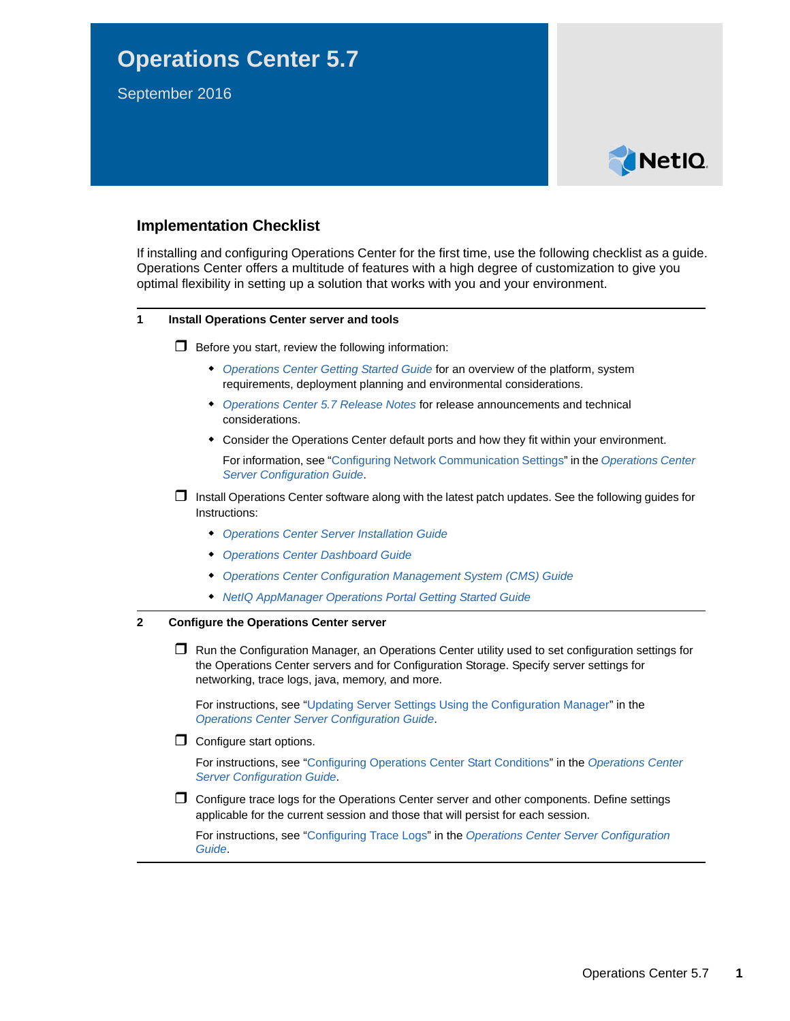# **Operations Center 5.7**

September 2016



# **Implementation Checklist**

If installing and configuring Operations Center for the first time, use the following checklist as a guide. Operations Center offers a multitude of features with a high degree of customization to give you optimal flexibility in setting up a solution that works with you and your environment.

## **1 Install Operations Center server and tools**

 $\Box$  Before you start, review the following information:

- *[Operations Center Getting Started Guide](https://www.netiq.com/documentation/operations-center/pdfdoc/getting_started/getting_started.pdf#bookinfo)* for an overview of the platform, system requirements, deployment planning and environmental considerations.
- *[Operations Center 5.7 Release Notes](https://www.netiq.com/documentation/operations-center/pdfdoc/release_notes/release_notes.pdf#bookinfo)* for release announcements and technical considerations.
- Consider the Operations Center default ports and how they fit within your environment.

For information, see ["Configuring Network Communication Settings](https://www.netiq.com/documentation/operations-center/pdfdoc/server_configuration/server_configuration.pdf#bl24loh)" in the *[Operations Center](https://www.netiq.com/documentation/operations-center/pdfdoc/server_configuration/server_configuration.pdf#bookinfo)  Server Configuration Guide*.

- $\Box$  Install Operations Center software along with the latest patch updates. See the following guides for Instructions:
	- *[Operations Center Server Installation Guide](https://www.netiq.com/documentation/operations-center/pdfdoc/server_installation/server_installation.pdf#bookinfo)*
	- *[Operations Center Dashboard Guide](https://www.netiq.com/documentation/operations-center/pdfdoc/dashboard/dashboard.pdf#bookinfo)*
	- *[Operations Center Configuration Management System \(CMS\) Guide](https://www.netiq.com/documentation/operations-center/pdfdoc/cms/cms.pdf#bookinfo)*
	- *[NetIQ AppManager Operations Portal Getting Started Guide](https://www.netiq.com/documentation/operations-center/pdfdoc/appmanager_operations_portal/appmanager_operations_portal.pdf#bookinfo)*

### **2 Configure the Operations Center server**

□ Run the Configuration Manager, an Operations Center utility used to set configuration settings for the Operations Center servers and for Configuration Storage. Specify server settings for networking, trace logs, java, memory, and more.

For instructions, see ["Updating Server Settings Using the Configuration Manager](https://www.netiq.com/documentation/operations-center/pdfdoc/server_configuration/server_configuration.pdf#bl1bsqw)" in the *[Operations Center Server Configuration Guide](https://www.netiq.com/documentation/operations-center/pdfdoc/server_configuration/server_configuration.pdf#bookinfo)*.

 $\Box$  Configure start options.

For instructions, see ["Configuring Operations Center Start Conditions"](https://www.netiq.com/documentation/operations-center/pdfdoc/server_configuration/server_configuration.pdf#bl24vfr) in the *[Operations Center](https://www.netiq.com/documentation/operations-center/pdfdoc/server_configuration/server_configuration.pdf#bookinfo)  Server Configuration Guide*.

 $\Box$  Configure trace logs for the Operations Center server and other components. Define settings applicable for the current session and those that will persist for each session.

For instructions, see ["Configuring Trace Logs](https://www.netiq.com/documentation/operations-center/pdfdoc/server_configuration/server_configuration.pdf#bl24pcm)" in the *[Operations Center Server Configuration](https://www.netiq.com/documentation/operations-center/pdfdoc/server_configuration/server_configuration.pdf#bookinfo)  Guide*.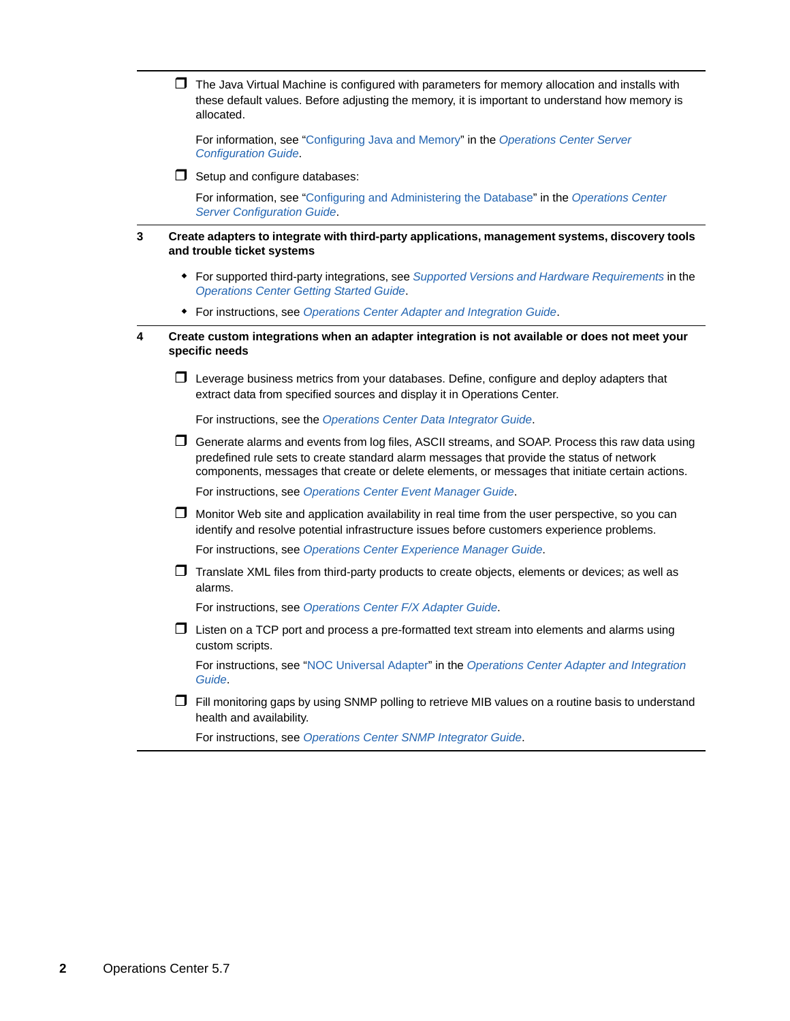$\Box$  The Java Virtual Machine is configured with parameters for memory allocation and installs with these default values. Before adjusting the memory, it is important to understand how memory is allocated.

For information, see ["Configuring Java and Memory](https://www.netiq.com/documentation/operations-center/pdfdoc/server_configuration/server_configuration.pdf#bl24sl0)" in the *[Operations Center Server](https://www.netiq.com/documentation/operations-center/pdfdoc/server_configuration/server_configuration.pdf#bookinfo)  Configuration Guide*.

 $\Box$  Setup and configure databases:

For information, see ["Configuring and Administering the Database](https://www.netiq.com/documentation/operations-center/pdfdoc/server_configuration/server_configuration.pdf#db)" in the *[Operations Center](https://www.netiq.com/documentation/operations-center/pdfdoc/server_configuration/server_configuration.pdf#bookinfo)  Server Configuration Guide*.

#### **3 Create adapters to integrate with third-party applications, management systems, discovery tools and trouble ticket systems**

- For supported third-party integrations, see *[Supported Versions and Hardware Requirements](https://www.netiq.com/documentation/operations-center/pdfdoc/getting_started/getting_started.pdf#blj7kl7)* in the *[Operations Center Getting Started Guide](https://www.netiq.com/documentation/operations-center/pdfdoc/getting_started/getting_started.pdf#bookinfo)*.
- For instructions, see *[Operations Center Adapter and Integration Guide](https://www.netiq.com/documentation/operations-center/pdfdoc/adapter_integration/adapter_integration.pdf#bookinfo)*.
- **4 Create custom integrations when an adapter integration is not available or does not meet your specific needs**
	- $\Box$  Leverage business metrics from your databases. Define, configure and deploy adapters that extract data from specified sources and display it in Operations Center.

For instructions, see the *Operations Center Data Integrator Guide*.

 $\Box$  Generate alarms and events from log files, ASCII streams, and SOAP. Process this raw data using predefined rule sets to create standard alarm messages that provide the status of network components, messages that create or delete elements, or messages that initiate certain actions.

For instructions, see *[Operations Center Event Manager Guide](https://www.netiq.com/documentation/operations-center/pdfdoc/event_manager/event_manager.pdf#bookinfo)*.

 $\Box$  Monitor Web site and application availability in real time from the user perspective, so you can identify and resolve potential infrastructure issues before customers experience problems.

For instructions, see *[Operations Center Experience Manager Guide](https://www.netiq.com/documentation/operations-center/pdfdoc/experience_manager/experience_manager.pdf#bookinfo)*.

 $\Box$  Translate XML files from third-party products to create objects, elements or devices; as well as alarms.

For instructions, see *[Operations Center F/X Adapter Guide](https://www.netiq.com/documentation/operations-center/pdfdoc/fx_adapter/fx_adapter.pdf#bookinfo)*.

 $\Box$  Listen on a TCP port and process a pre-formatted text stream into elements and alarms using custom scripts.

For instructions, see ["NOC Universal Adapter](https://www.netiq.com/documentation/operations-center/pdfdoc/adapter_integration/adapter_integration.pdf#bkxkt5d)" in the *[Operations Center Adapter and Integration](https://www.netiq.com/documentation/operations-center/pdfdoc/adapter_integration/adapter_integration.pdf#bookinfo)  Guide*.

 $\Box$  Fill monitoring gaps by using SNMP polling to retrieve MIB values on a routine basis to understand health and availability.

For instructions, see *[Operations Center SNMP Integrator Guide](https://www.netiq.com/documentation/operations-center/pdfdoc/snmp_integrator/snmp_integrator.pdf#bookinfo)*.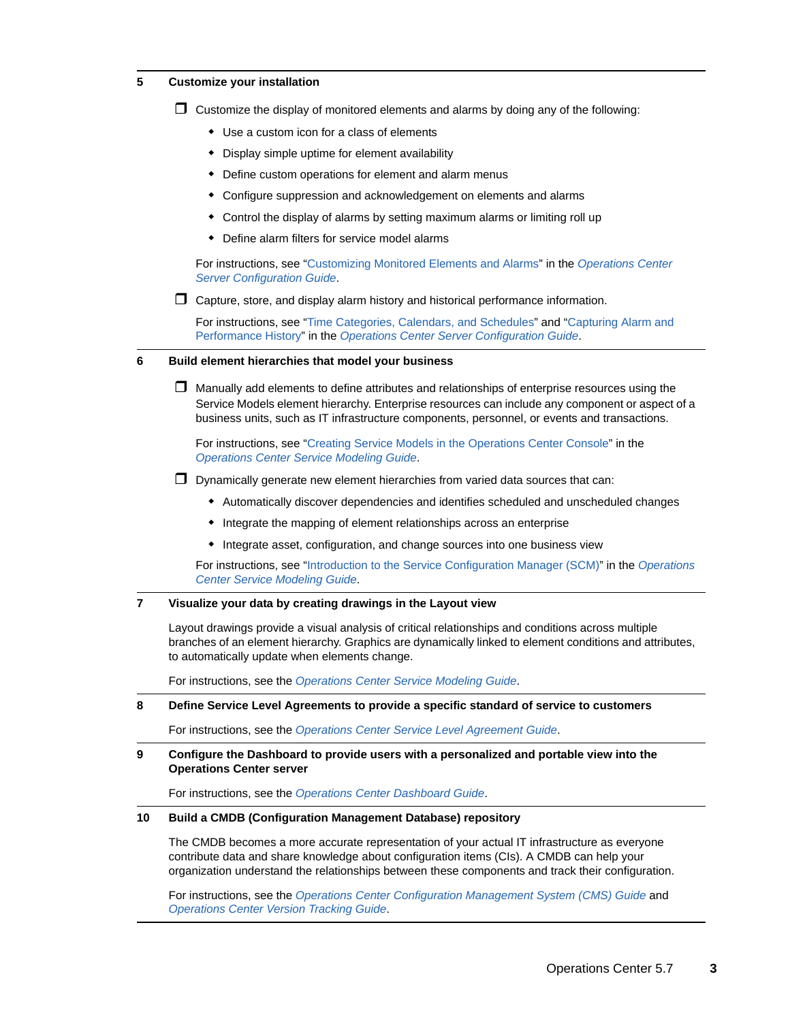#### **5 Customize your installation**

- $\Box$  Customize the display of monitored elements and alarms by doing any of the following:
	- Use a custom icon for a class of elements
	- Display simple uptime for element availability
	- Define custom operations for element and alarm menus
	- Configure suppression and acknowledgement on elements and alarms
	- Control the display of alarms by setting maximum alarms or limiting roll up
	- Define alarm filters for service model alarms

For instructions, see ["Customizing Monitored Elements and Alarms"](https://www.netiq.com/documentation/operations-center/pdfdoc/server_configuration/server_configuration.pdf#blcheaz) in the *[Operations Center](https://www.netiq.com/documentation/operations-center/pdfdoc/server_configuration/server_configuration.pdf#bookinfo)  Server Configuration Guide*.

 $\Box$  Capture, store, and display alarm history and historical performance information.

For instructions, see ["Time Categories, Calendars, and Schedules](https://www.netiq.com/documentation/operations-center/pdfdoc/server_configuration/server_configuration.pdf#timemanagement)" and ["Capturing Alarm and](https://www.netiq.com/documentation/operations-center/pdfdoc/server_configuration/server_configuration.pdf#alarmperformance)  Performance History" in the *[Operations Center Server Configuration Guide](https://www.netiq.com/documentation/operations-center/pdfdoc/server_configuration/server_configuration.pdf#bookinfo)*.

### **6 Build element hierarchies that model your business**

 $\Box$  Manually add elements to define attributes and relationships of enterprise resources using the Service Models element hierarchy. Enterprise resources can include any component or aspect of a business units, such as IT infrastructure components, personnel, or events and transactions.

For instructions, see ["Creating Service Models in the Operations Center Console"](https://www.netiq.com/documentation/operations-center/pdfdoc/service_modeling/service_modeling.pdf#bl8zwtm) in the *[Operations Center Service Modeling Guide](https://www.netiq.com/documentation/operations-center/pdfdoc/service_modeling/service_modeling.pdf#bookinfo)*.

- $\Box$  Dynamically generate new element hierarchies from varied data sources that can:
	- Automatically discover dependencies and identifies scheduled and unscheduled changes
	- Integrate the mapping of element relationships across an enterprise
	- Integrate asset, configuration, and change sources into one business view

For instructions, see ["Introduction to the Service Configuration Manager \(SCM\)"](https://www.netiq.com/documentation/operations-center/pdfdoc/service_modeling/service_modeling.pdf#bscmintro) in the *[Operations](https://www.netiq.com/documentation/operations-center/pdfdoc/service_modeling/service_modeling.pdf#bookinfo)  Center Service Modeling Guide*.

#### **7 Visualize your data by creating drawings in the Layout view**

Layout drawings provide a visual analysis of critical relationships and conditions across multiple branches of an element hierarchy. Graphics are dynamically linked to element conditions and attributes, to automatically update when elements change.

For instructions, see the *[Operations Center Service Modeling Guide](https://www.netiq.com/documentation/operations-center/pdfdoc/service_modeling/service_modeling.pdf#bookinfo)*.

#### **8 Define Service Level Agreements to provide a specific standard of service to customers**

For instructions, see the *[Operations Center Service Level Agreement Guide](https://www.netiq.com/documentation/operations-center/pdfdoc/service_level_agreement/service_level_agreement.pdf#bookinfo)*.

#### **9 Configure the Dashboard to provide users with a personalized and portable view into the Operations Center server**

For instructions, see the *[Operations Center Dashboard Guide](https://www.netiq.com/documentation/operations-center/pdfdoc/dashboard/dashboard.pdf#bookinfo)*.

#### **10 Build a CMDB (Configuration Management Database) repository**

The CMDB becomes a more accurate representation of your actual IT infrastructure as everyone contribute data and share knowledge about configuration items (CIs). A CMDB can help your organization understand the relationships between these components and track their configuration.

For instructions, see the *[Operations Center Configuration Management System \(CMS\) Guide](https://www.netiq.com/documentation/operations-center/pdfdoc/cms/cms.pdf#bookinfo)* and *[Operations Center Version Tracking Guide](https://www.netiq.com/documentation/operations-center/pdfdoc/version_tracking/version_tracking.pdf#bookinfo)*.